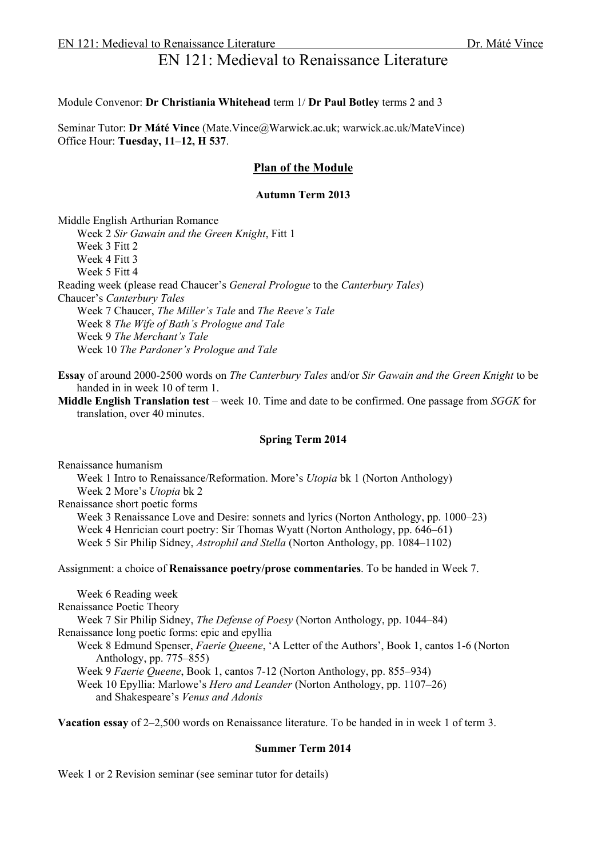# EN 121: Medieval to Renaissance Literature

#### Module Convenor: **Dr Christiania Whitehead** term 1/ **Dr Paul Botley** terms 2 and 3

Seminar Tutor: **Dr Máté Vince** (Mate.Vince@Warwick.ac.uk; warwick.ac.uk/MateVince) Office Hour: **Tuesday, 11–12, H 537**.

# **Plan of the Module**

## **Autumn Term 2013**

Middle English Arthurian Romance Week 2 *Sir Gawain and the Green Knight*, Fitt 1

Week 3 Fitt 2

Week 4 Fitt 3

Week 5 Fitt 4

Reading week (please read Chaucer's *General Prologue* to the *Canterbury Tales*) Chaucer's *Canterbury Tales* Week 7 Chaucer, *The Miller's Tale* and *The Reeve's Tale* Week 8 *The Wife of Bath's Prologue and Tale* Week 9 *The Merchant's Tale*

Week 10 *The Pardoner's Prologue and Tale*

**Essay** of around 2000-2500 words on *The Canterbury Tales* and/or *Sir Gawain and the Green Knight* to be handed in in week 10 of term 1.

**Middle English Translation test** – week 10. Time and date to be confirmed. One passage from *SGGK* for translation, over 40 minutes.

## **Spring Term 2014**

Renaissance humanism Week 1 Intro to Renaissance/Reformation. More's *Utopia* bk 1 (Norton Anthology) Week 2 More's *Utopia* bk 2 Renaissance short poetic forms Week 3 Renaissance Love and Desire: sonnets and lyrics (Norton Anthology, pp. 1000–23) Week 4 Henrician court poetry: Sir Thomas Wyatt (Norton Anthology, pp. 646–61) Week 5 Sir Philip Sidney, *Astrophil and Stella* (Norton Anthology, pp. 1084–1102)

Assignment: a choice of **Renaissance poetry/prose commentaries**. To be handed in Week 7.

Week 6 Reading week Renaissance Poetic Theory Week 7 Sir Philip Sidney, *The Defense of Poesy* (Norton Anthology, pp. 1044–84) Renaissance long poetic forms: epic and epyllia Week 8 Edmund Spenser, *Faerie Queene*, 'A Letter of the Authors', Book 1, cantos 1-6 (Norton Anthology, pp. 775–855) Week 9 *Faerie Queene*, Book 1, cantos 7-12 (Norton Anthology, pp. 855–934) Week 10 Epyllia: Marlowe's *Hero and Leander* (Norton Anthology, pp. 1107–26) and Shakespeare's *Venus and Adonis*

**Vacation essay** of 2–2,500 words on Renaissance literature. To be handed in in week 1 of term 3.

#### **Summer Term 2014**

Week 1 or 2 Revision seminar (see seminar tutor for details)